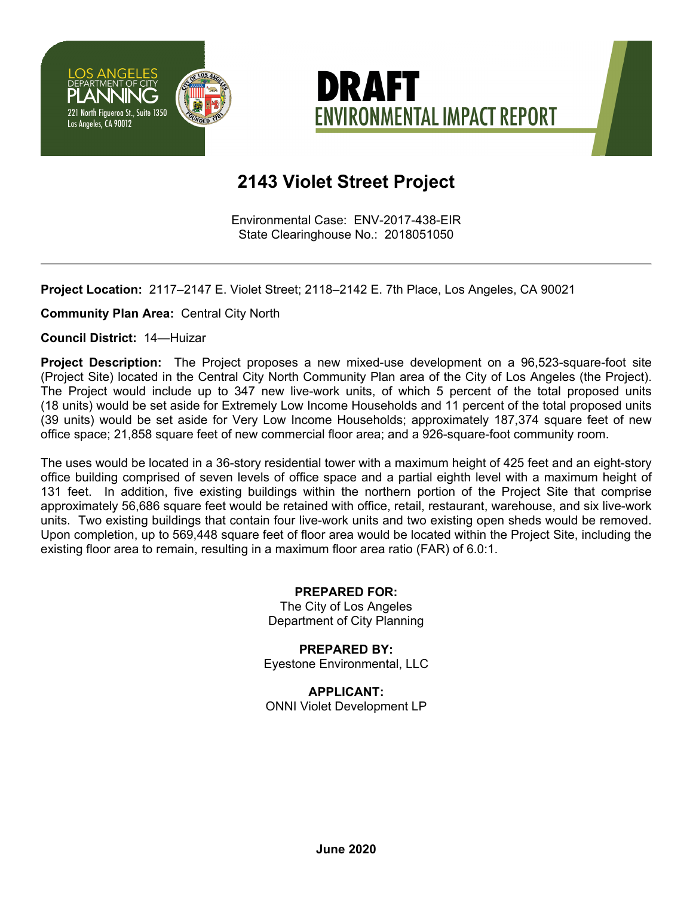



## **2143 Violet Street Project**

Environmental Case: ENV-2017-438-EIR State Clearinghouse No.: 2018051050

**Project Location:** 2117–2147 E. Violet Street; 2118–2142 E. 7th Place, Los Angeles, CA 90021

**Community Plan Area:** Central City North

**Council District:** 14—Huizar

**Project Description:** The Project proposes a new mixed-use development on a 96,523-square-foot site (Project Site) located in the Central City North Community Plan area of the City of Los Angeles (the Project). The Project would include up to 347 new live-work units, of which 5 percent of the total proposed units (18 units) would be set aside for Extremely Low Income Households and 11 percent of the total proposed units (39 units) would be set aside for Very Low Income Households; approximately 187,374 square feet of new office space; 21,858 square feet of new commercial floor area; and a 926-square-foot community room.

The uses would be located in a 36-story residential tower with a maximum height of 425 feet and an eight-story office building comprised of seven levels of office space and a partial eighth level with a maximum height of 131 feet. In addition, five existing buildings within the northern portion of the Project Site that comprise approximately 56,686 square feet would be retained with office, retail, restaurant, warehouse, and six live-work units. Two existing buildings that contain four live-work units and two existing open sheds would be removed. Upon completion, up to 569,448 square feet of floor area would be located within the Project Site, including the existing floor area to remain, resulting in a maximum floor area ratio (FAR) of 6.0:1.

> **PREPARED FOR:**  The City of Los Angeles Department of City Planning

**PREPARED BY:**  Eyestone Environmental, LLC

**APPLICANT:**  ONNI Violet Development LP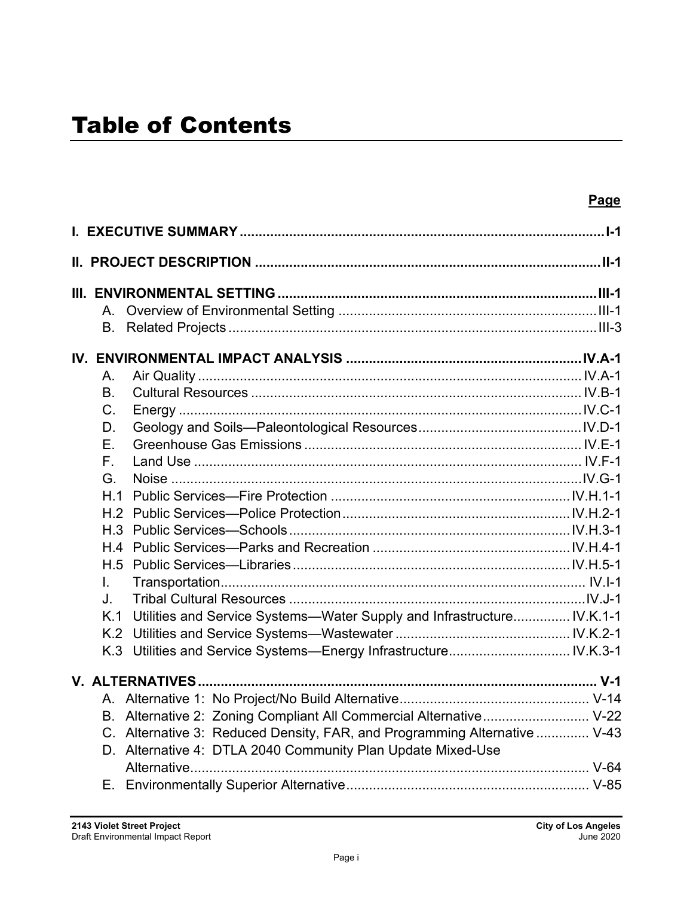|                |                                                                           | <b>Page</b> |
|----------------|---------------------------------------------------------------------------|-------------|
|                |                                                                           |             |
|                | <u>II. PROJECT DESCRIPTION ………………………………………………………………………………II-1</u>         |             |
|                |                                                                           |             |
|                |                                                                           |             |
|                |                                                                           |             |
| В.             |                                                                           |             |
|                |                                                                           |             |
| Α.             |                                                                           |             |
| B <sub>1</sub> |                                                                           |             |
| $C_{\cdot}$    |                                                                           |             |
| D.             |                                                                           |             |
| Е.             |                                                                           |             |
| $F_{\perp}$    |                                                                           |             |
| G.             |                                                                           |             |
| H <sub>1</sub> |                                                                           |             |
|                |                                                                           |             |
|                |                                                                           |             |
| H.4            |                                                                           |             |
|                |                                                                           |             |
| L.             |                                                                           |             |
| J.             |                                                                           |             |
| K.1            | Utilities and Service Systems-Water Supply and Infrastructure IV.K.1-1    |             |
|                |                                                                           |             |
| K.3            |                                                                           |             |
|                |                                                                           |             |
|                |                                                                           |             |
|                | B. Alternative 2: Zoning Compliant All Commercial Alternative V-22        |             |
|                | C. Alternative 3: Reduced Density, FAR, and Programming Alternative  V-43 |             |
|                | D. Alternative 4: DTLA 2040 Community Plan Update Mixed-Use               |             |
|                | Alternative                                                               |             |
| Е.             |                                                                           |             |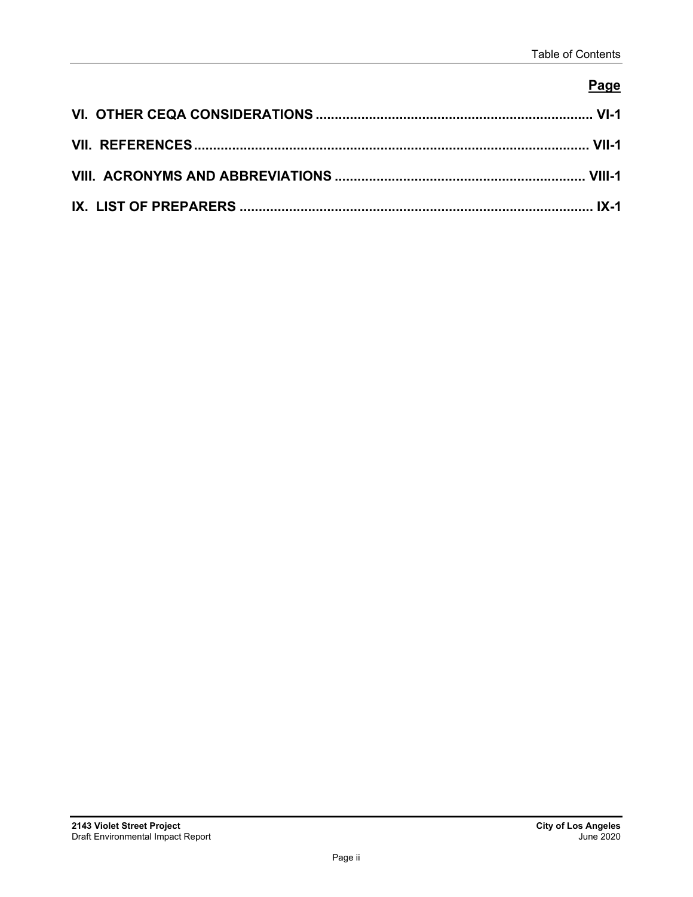### **Page**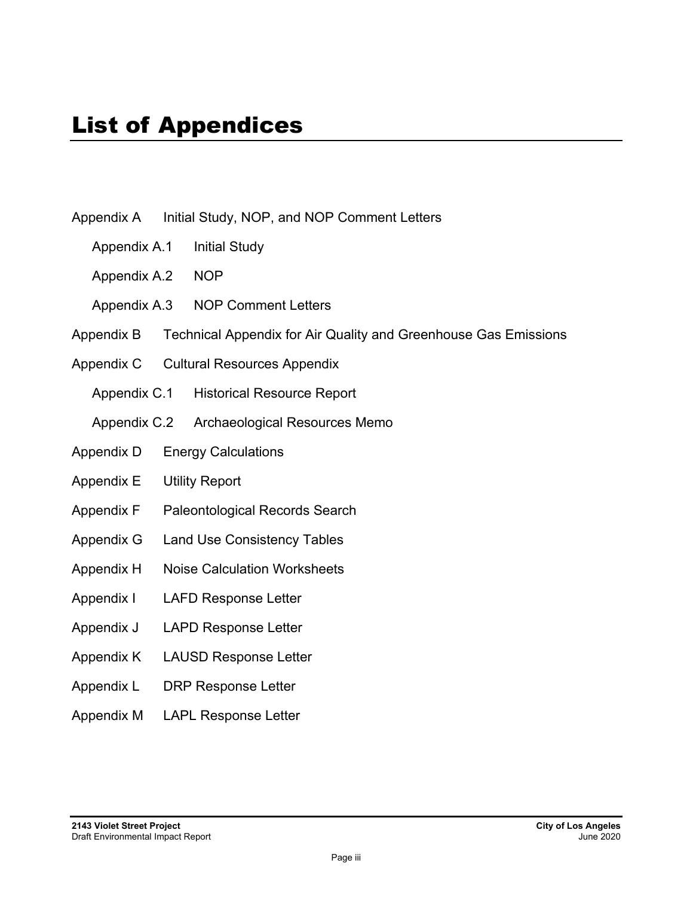- Appendix A Initial Study, NOP, and NOP Comment Letters
	- Appendix A.1 Initial Study
	- Appendix A.2 NOP
	- Appendix A.3 NOP Comment Letters
- Appendix B Technical Appendix for Air Quality and Greenhouse Gas Emissions
- Appendix C Cultural Resources Appendix
	- Appendix C.1 Historical Resource Report
	- Appendix C.2 Archaeological Resources Memo
- Appendix D Energy Calculations
- Appendix E Utility Report
- Appendix F Paleontological Records Search
- Appendix G Land Use Consistency Tables
- Appendix H Noise Calculation Worksheets
- Appendix I LAFD Response Letter
- Appendix J LAPD Response Letter
- Appendix K LAUSD Response Letter
- Appendix L DRP Response Letter
- Appendix M LAPL Response Letter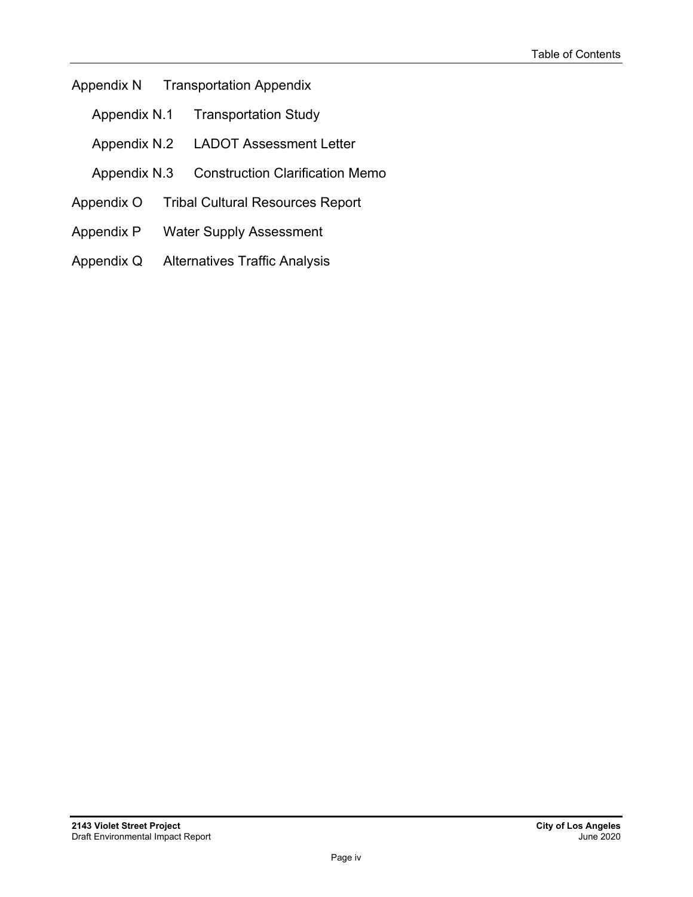#### Appendix N Transportation Appendix

- Appendix N.1 Transportation Study
- Appendix N.2 LADOT Assessment Letter
- Appendix N.3 Construction Clarification Memo
- Appendix O Tribal Cultural Resources Report
- Appendix P Water Supply Assessment
- Appendix Q Alternatives Traffic Analysis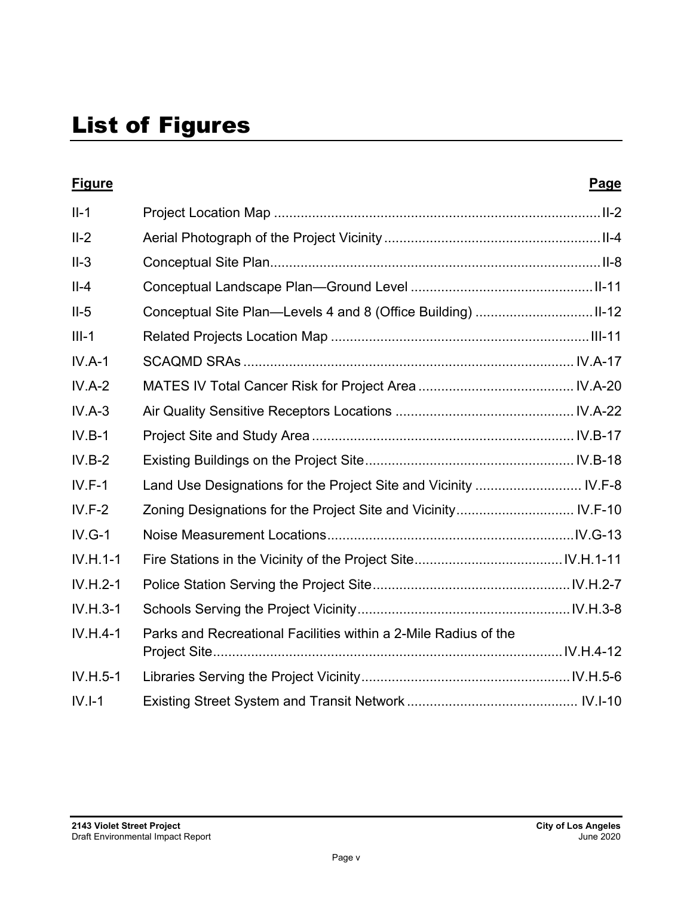| <b>Figure</b> |                                                                 | <b>Page</b> |
|---------------|-----------------------------------------------------------------|-------------|
| $II-1$        |                                                                 |             |
| $II-2$        |                                                                 |             |
| $II-3$        |                                                                 |             |
| $II-4$        |                                                                 |             |
| $II-5$        |                                                                 |             |
| $III-1$       |                                                                 |             |
| $IV.A-1$      |                                                                 |             |
| $IV.A-2$      |                                                                 |             |
| $IV.A-3$      |                                                                 |             |
| $IV.B-1$      |                                                                 |             |
| $IV.B-2$      |                                                                 |             |
| $IV.F-1$      |                                                                 |             |
| $IV.F-2$      |                                                                 |             |
| $IV.G-1$      |                                                                 |             |
| $IV.H.1-1$    |                                                                 |             |
| $IV.H.2-1$    |                                                                 |             |
| $IV.H.3-1$    |                                                                 |             |
| $IV.H.4-1$    | Parks and Recreational Facilities within a 2-Mile Radius of the |             |
|               |                                                                 |             |
| $IV.H.5-1$    |                                                                 |             |
| $IV.I-1$      |                                                                 |             |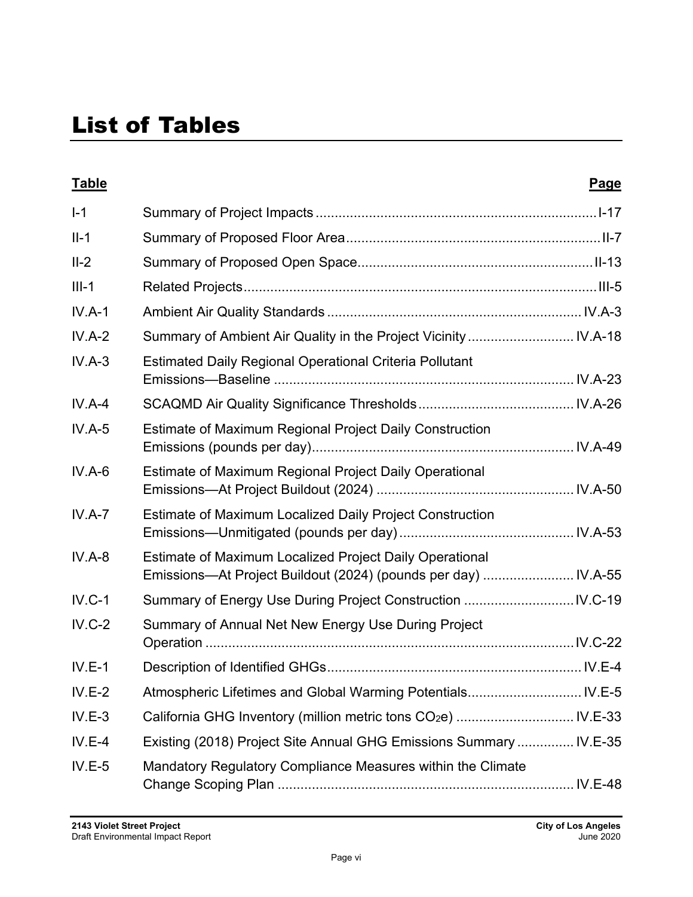# List of Tables

| <b>Table</b> |                                                                                                                           | Page |
|--------------|---------------------------------------------------------------------------------------------------------------------------|------|
| $I-1$        |                                                                                                                           |      |
| $II-1$       |                                                                                                                           |      |
| $II-2$       |                                                                                                                           |      |
| $III-1$      |                                                                                                                           |      |
| $IV.A-1$     |                                                                                                                           |      |
| $IV.A-2$     | Summary of Ambient Air Quality in the Project Vicinity  IV.A-18                                                           |      |
| $IV.A-3$     | <b>Estimated Daily Regional Operational Criteria Pollutant</b>                                                            |      |
| $IV.A-4$     |                                                                                                                           |      |
| $IV.A-5$     | Estimate of Maximum Regional Project Daily Construction                                                                   |      |
| $IV.A-6$     | Estimate of Maximum Regional Project Daily Operational                                                                    |      |
| $IV.A-7$     | <b>Estimate of Maximum Localized Daily Project Construction</b>                                                           |      |
| $IV.A-8$     | Estimate of Maximum Localized Project Daily Operational<br>Emissions-At Project Buildout (2024) (pounds per day)  IV.A-55 |      |
| $IV.C-1$     |                                                                                                                           |      |
| $IV.C-2$     | Summary of Annual Net New Energy Use During Project                                                                       |      |
| $IV.E-1$     |                                                                                                                           |      |
| $IV.E-2$     |                                                                                                                           |      |
| $IV.E-3$     | California GHG Inventory (million metric tons CO <sub>2</sub> e)  IV.E-33                                                 |      |
| $IV.E-4$     | Existing (2018) Project Site Annual GHG Emissions Summary  IV.E-35                                                        |      |
| $IV.E-5$     | Mandatory Regulatory Compliance Measures within the Climate                                                               |      |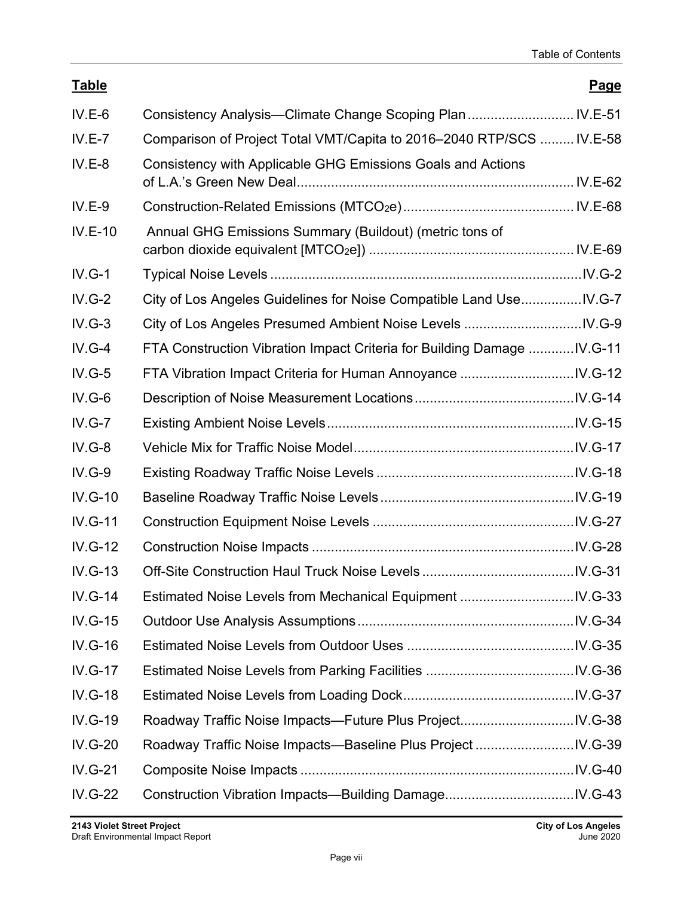| <b>Table</b>   |                                                                         | Page |
|----------------|-------------------------------------------------------------------------|------|
| $IV.E-6$       | Consistency Analysis-Climate Change Scoping Plan  IV.E-51               |      |
| $IV.E-7$       | Comparison of Project Total VMT/Capita to 2016-2040 RTP/SCS  IV.E-58    |      |
| $IV.E-8$       | Consistency with Applicable GHG Emissions Goals and Actions             |      |
| $IV.E-9$       |                                                                         |      |
| <b>IV.E-10</b> | Annual GHG Emissions Summary (Buildout) (metric tons of                 |      |
| $IV.G-1$       |                                                                         |      |
| $IV.G-2$       | City of Los Angeles Guidelines for Noise Compatible Land UseIV.G-7      |      |
| $IV.G-3$       |                                                                         |      |
| $IV.G-4$       | FTA Construction Vibration Impact Criteria for Building Damage  IV.G-11 |      |
| $IV.G-5$       |                                                                         |      |
| $IV.G-6$       |                                                                         |      |
| $IV.G-7$       |                                                                         |      |
| $IV.G-8$       |                                                                         |      |
| $IV.G-9$       |                                                                         |      |
| $IV.G-10$      |                                                                         |      |
| <b>IV.G-11</b> |                                                                         |      |
| <b>IV.G-12</b> |                                                                         |      |
| $IV.G-13$      |                                                                         |      |
| $IV.G-14$      |                                                                         |      |
| <b>IV.G-15</b> |                                                                         |      |
| $IV.G-16$      |                                                                         |      |
| <b>IV.G-17</b> |                                                                         |      |
| <b>IV.G-18</b> |                                                                         |      |
| <b>IV.G-19</b> |                                                                         |      |
| <b>IV.G-20</b> |                                                                         |      |
| <b>IV.G-21</b> |                                                                         |      |
| <b>IV.G-22</b> |                                                                         |      |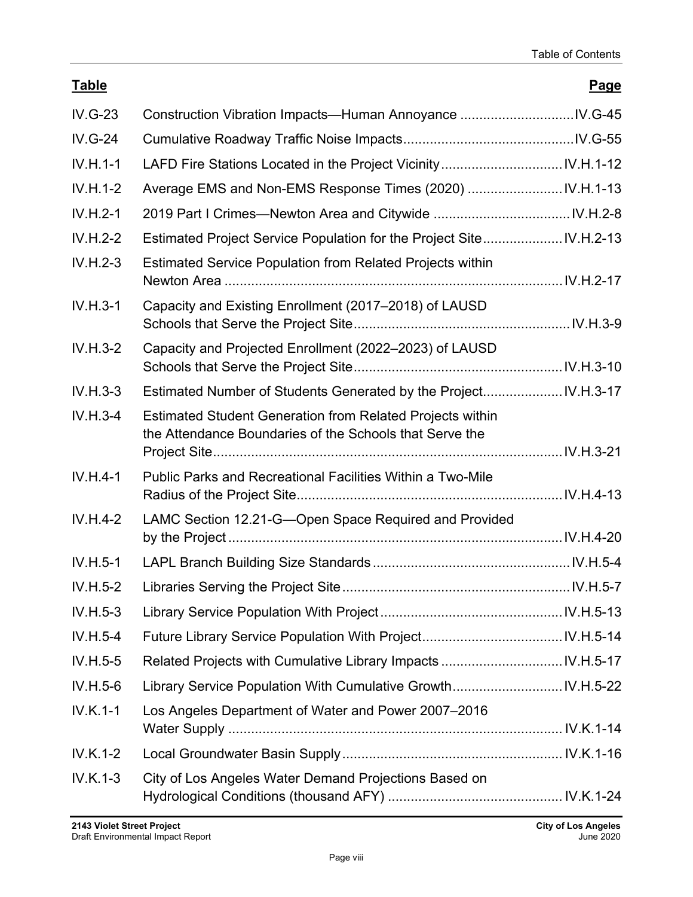### **Table Page**

| $IV.G-23$      |                                                                                                                             |  |
|----------------|-----------------------------------------------------------------------------------------------------------------------------|--|
| <b>IV.G-24</b> |                                                                                                                             |  |
| $IV.H.1-1$     |                                                                                                                             |  |
| $IV.H.1-2$     | Average EMS and Non-EMS Response Times (2020)  IV.H.1-13                                                                    |  |
| $IV.H.2-1$     |                                                                                                                             |  |
| $IV.H.2-2$     |                                                                                                                             |  |
| $IV.H.2-3$     | <b>Estimated Service Population from Related Projects within</b>                                                            |  |
| $IV.H.3-1$     | Capacity and Existing Enrollment (2017–2018) of LAUSD                                                                       |  |
| $IV.H.3-2$     | Capacity and Projected Enrollment (2022-2023) of LAUSD                                                                      |  |
| $IV.H.3-3$     | Estimated Number of Students Generated by the Project IV.H.3-17                                                             |  |
| $IV.H.3-4$     | <b>Estimated Student Generation from Related Projects within</b><br>the Attendance Boundaries of the Schools that Serve the |  |
| $IV.H.4-1$     | <b>Public Parks and Recreational Facilities Within a Two-Mile</b>                                                           |  |
| $IV.H.4-2$     | LAMC Section 12.21-G-Open Space Required and Provided                                                                       |  |
| $IV.H.5-1$     |                                                                                                                             |  |
| $IV.H.5-2$     |                                                                                                                             |  |
| $IV.H.5-3$     |                                                                                                                             |  |
| $IV.H.5-4$     |                                                                                                                             |  |
| $IV.H.5-5$     |                                                                                                                             |  |
| $IV.H.5-6$     |                                                                                                                             |  |
| IV.K.1-1       | Los Angeles Department of Water and Power 2007-2016                                                                         |  |
| $IV.K.1-2$     |                                                                                                                             |  |
| $IV.K.1-3$     | City of Los Angeles Water Demand Projections Based on                                                                       |  |